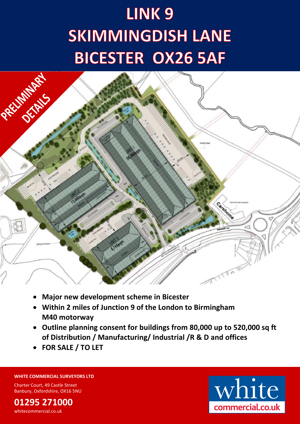# LINK<sub>9</sub> **SKIMMINGDISH LANE BICESTER OX26 5AF**



- **Major new development scheme in Bicester**
- **Within 2 miles of Junction 9 of the London to Birmingham M40 motorway**
- **Outline planning consent for buildings from 80,000 up to 520,000 sq ft of Distribution / Manufacturing/ Industrial /R & D and offices**
- **FOR SALE / TO LET**

# **WHITE COMMERCIAL SURVEYORS LTD**

Charter Court, 49 Castle Street Banbury, Oxfordshire, OX16 5NU

**01295 271000** whitecommercial.co.uk